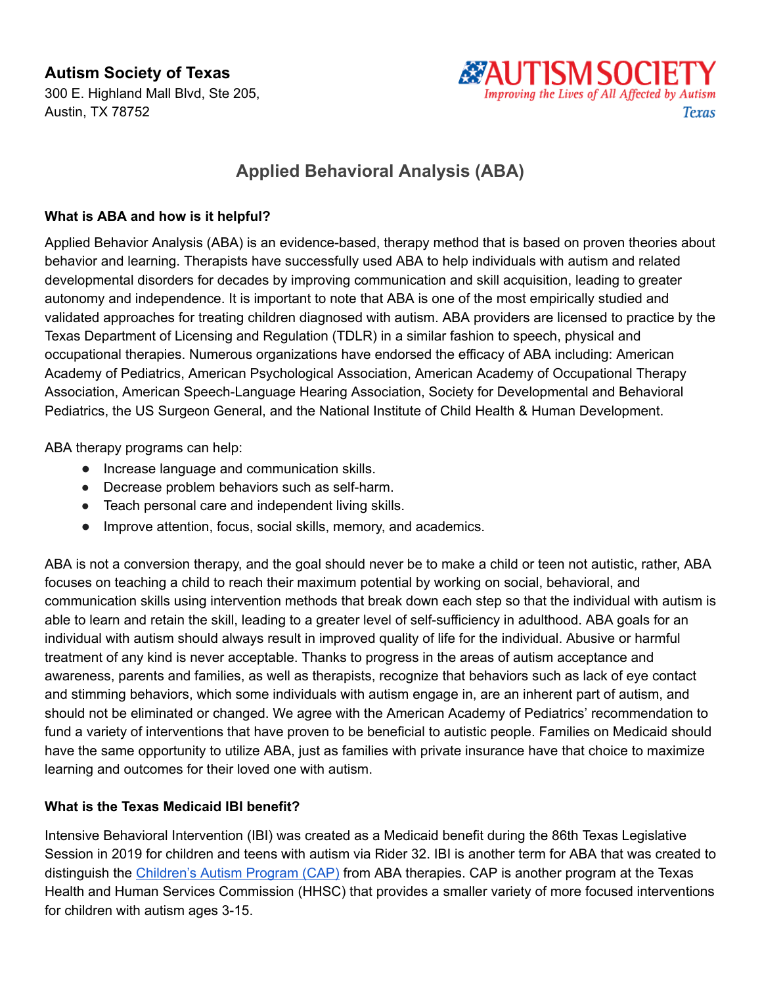**Autism Society of Texas**

300 E. Highland Mall Blvd, Ste 205, Austin, TX 78752



# **Applied Behavioral Analysis (ABA)**

### **What is ABA and how is it helpful?**

Applied Behavior Analysis (ABA) is an evidence-based, therapy method that is based on proven theories about behavior and learning. Therapists have successfully used ABA to help individuals with autism and related developmental disorders for decades by improving communication and skill acquisition, leading to greater autonomy and independence. It is important to note that ABA is one of the most empirically studied and validated approaches for treating children diagnosed with autism. ABA providers are licensed to practice by the Texas Department of Licensing and Regulation (TDLR) in a similar fashion to speech, physical and occupational therapies. Numerous organizations have endorsed the efficacy of ABA including: American Academy of Pediatrics, American Psychological Association, American Academy of Occupational Therapy Association, American Speech-Language Hearing Association, Society for Developmental and Behavioral Pediatrics, the US Surgeon General, and the National Institute of Child Health & Human Development.

ABA therapy programs can help:

- Increase language and communication skills.
- Decrease problem behaviors such as self-harm.
- Teach personal care and independent living skills.
- Improve attention, focus, social skills, memory, and academics.

ABA is not a conversion therapy, and the goal should never be to make a child or teen not autistic, rather, ABA focuses on teaching a child to reach their maximum potential by working on social, behavioral, and communication skills using intervention methods that break down each step so that the individual with autism is able to learn and retain the skill, leading to a greater level of self-sufficiency in adulthood. ABA goals for an individual with autism should always result in improved quality of life for the individual. Abusive or harmful treatment of any kind is never acceptable. Thanks to progress in the areas of autism acceptance and awareness, parents and families, as well as therapists, recognize that behaviors such as lack of eye contact and stimming behaviors, which some individuals with autism engage in, are an inherent part of autism, and should not be eliminated or changed. We agree with the American Academy of Pediatrics' recommendation to fund a variety of interventions that have proven to be beneficial to autistic people. Families on Medicaid should have the same opportunity to utilize ABA, just as families with private insurance have that choice to maximize learning and outcomes for their loved one with autism.

#### **What is the Texas Medicaid IBI benefit?**

Intensive Behavioral Intervention (IBI) was created as a Medicaid benefit during the 86th Texas Legislative Session in 2019 for children and teens with autism via Rider 32. IBI is another term for ABA that was created to distinguish the [Children's](http://www.texasautismsociety.org/wp-content/uploads/2020/08/Childrens-Autism-Program_AST08102020.pdf) Autism Program (CAP) from ABA therapies. CAP is another program at the Texas Health and Human Services Commission (HHSC) that provides a smaller variety of more focused interventions for children with autism ages 3-15.